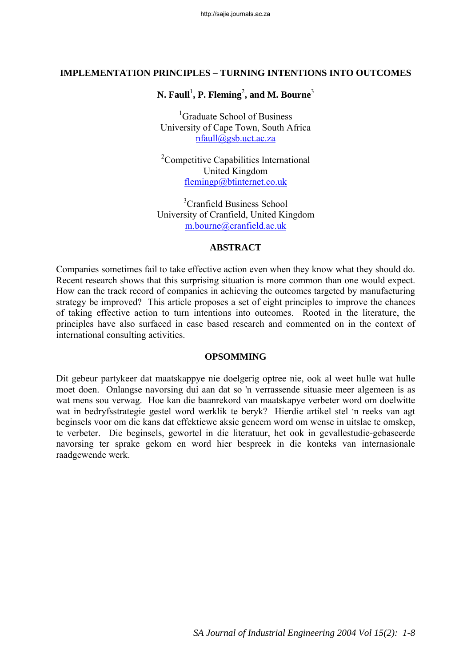### **IMPLEMENTATION PRINCIPLES – TURNING INTENTIONS INTO OUTCOMES**

# $\mathbf{N.} \; \mathbf{Faull}^{1}, \mathbf{P.} \; \mathbf{Fleming}^{2}, \text{and } \mathbf{M.} \; \mathbf{Bourne}^{3}$

<sup>1</sup>Graduate School of Business University of Cape Town, South Africa nfaull@gsb.uct.ac.za

<sup>2</sup>Competitive Capabilities International United Kingdom flemingp@btinternet.co.uk

3 Cranfield Business School University of Cranfield, United Kingdom m.bourne@cranfield.ac.uk

#### **ABSTRACT**

Companies sometimes fail to take effective action even when they know what they should do. Recent research shows that this surprising situation is more common than one would expect. How can the track record of companies in achieving the outcomes targeted by manufacturing strategy be improved? This article proposes a set of eight principles to improve the chances of taking effective action to turn intentions into outcomes. Rooted in the literature, the principles have also surfaced in case based research and commented on in the context of international consulting activities.

#### **OPSOMMING**

Dit gebeur partykeer dat maatskappye nie doelgerig optree nie, ook al weet hulle wat hulle moet doen. Onlangse navorsing dui aan dat so 'n verrassende situasie meer algemeen is as wat mens sou verwag. Hoe kan die baanrekord van maatskapye verbeter word om doelwitte wat in bedryfsstrategie gestel word werklik te beryk? Hierdie artikel stel ' n reeks van agt beginsels voor om die kans dat effektiewe aksie geneem word om wense in uitslae te omskep, te verbeter. Die beginsels, gewortel in die literatuur, het ook in gevallestudie-gebaseerde navorsing ter sprake gekom en word hier bespreek in die konteks van internasionale raadgewende werk.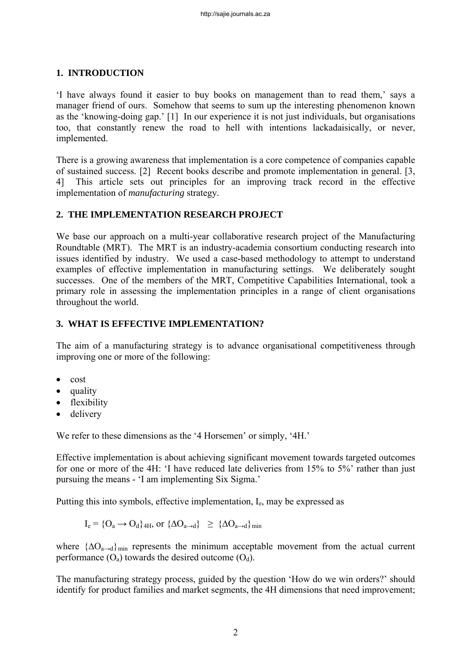### **1. INTRODUCTION**

'I have always found it easier to buy books on management than to read them,' says a manager friend of ours. Somehow that seems to sum up the interesting phenomenon known as the 'knowing-doing gap.' [1] In our experience it is not just individuals, but organisations too, that constantly renew the road to hell with intentions lackadaisically, or never, implemented.

There is a growing awareness that implementation is a core competence of companies capable of sustained success. [2] Recent books describe and promote implementation in general. [3, 4] This article sets out principles for an improving track record in the effective implementation of *manufacturing* strategy.

### **2. THE IMPLEMENTATION RESEARCH PROJECT**

We base our approach on a multi-year collaborative research project of the Manufacturing Roundtable (MRT). The MRT is an industry-academia consortium conducting research into issues identified by industry. We used a case-based methodology to attempt to understand examples of effective implementation in manufacturing settings. We deliberately sought successes. One of the members of the MRT, Competitive Capabilities International, took a primary role in assessing the implementation principles in a range of client organisations throughout the world.

### **3. WHAT IS EFFECTIVE IMPLEMENTATION?**

The aim of a manufacturing strategy is to advance organisational competitiveness through improving one or more of the following:

- cost
- quality
- flexibility
- delivery

We refer to these dimensions as the '4 Horsemen' or simply, '4H.'

Effective implementation is about achieving significant movement towards targeted outcomes for one or more of the 4H: 'I have reduced late deliveries from 15% to 5%' rather than just pursuing the means - 'I am implementing Six Sigma.'

Putting this into symbols, effective implementation,  $I_{\rm e}$ , may be expressed as

$$
I_e = \{O_a \to O_d\}_{4H}, \text{ or } \{\Delta O_{a \to d}\} \ge \{\Delta O_{a \to d}\}_{\text{min}}
$$

where  ${\Delta}O_{a\rightarrow d}$ <sub>min</sub> represents the minimum acceptable movement from the actual current performance  $(O_a)$  towards the desired outcome  $(O_d)$ .

The manufacturing strategy process, guided by the question 'How do we win orders?' should identify for product families and market segments, the 4H dimensions that need improvement;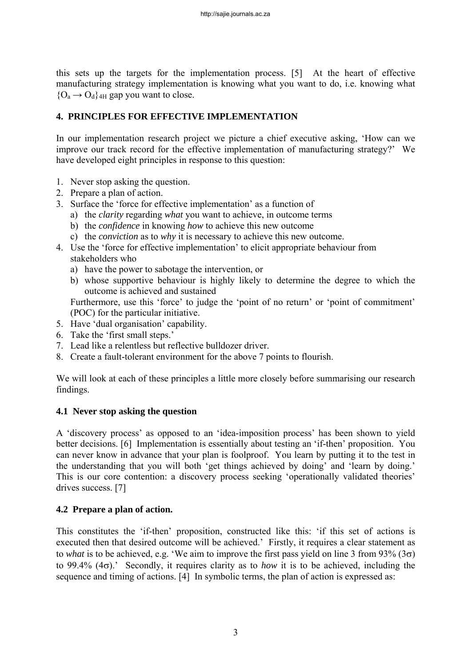this sets up the targets for the implementation process. [5] At the heart of effective manufacturing strategy implementation is knowing what you want to do, i.e. knowing what  ${O_a \rightarrow O_d}$ <sub>4H</sub> gap you want to close.

## **4. PRINCIPLES FOR EFFECTIVE IMPLEMENTATION**

In our implementation research project we picture a chief executive asking, 'How can we improve our track record for the effective implementation of manufacturing strategy?' We have developed eight principles in response to this question:

- 1. Never stop asking the question.
- 2. Prepare a plan of action.
- 3. Surface the 'force for effective implementation' as a function of
	- a) the *clarity* regarding *what* you want to achieve, in outcome terms
	- b) the *confidence* in knowing *how* to achieve this new outcome
	- c) the *conviction* as to *why* it is necessary to achieve this new outcome.
- 4. Use the 'force for effective implementation' to elicit appropriate behaviour from stakeholders who
	- a) have the power to sabotage the intervention, or
	- b) whose supportive behaviour is highly likely to determine the degree to which the outcome is achieved and sustained

Furthermore, use this 'force' to judge the 'point of no return' or 'point of commitment' (POC) for the particular initiative.

- 5. Have 'dual organisation' capability.
- 6. Take the 'first small steps.'
- 7. Lead like a relentless but reflective bulldozer driver.
- 8. Create a fault-tolerant environment for the above 7 points to flourish.

We will look at each of these principles a little more closely before summarising our research findings.

### **4.1 Never stop asking the question**

A 'discovery process' as opposed to an 'idea-imposition process' has been shown to yield better decisions. [6] Implementation is essentially about testing an 'if-then' proposition. You can never know in advance that your plan is foolproof. You learn by putting it to the test in the understanding that you will both 'get things achieved by doing' and 'learn by doing.' This is our core contention: a discovery process seeking 'operationally validated theories' drives success. [7]

# **4.2 Prepare a plan of action.**

This constitutes the 'if-then' proposition, constructed like this: 'if this set of actions is executed then that desired outcome will be achieved.' Firstly, it requires a clear statement as to *what* is to be achieved, e.g. 'We aim to improve the first pass yield on line 3 from 93% ( $3\sigma$ ) to 99.4% (4σ).' Secondly, it requires clarity as to *how* it is to be achieved, including the sequence and timing of actions. [4] In symbolic terms, the plan of action is expressed as: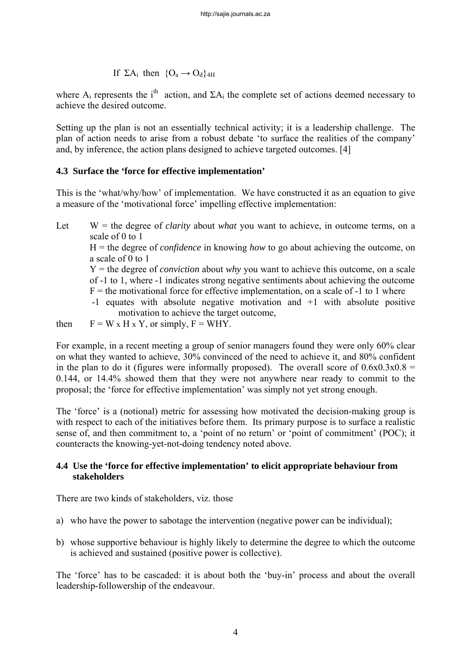If 
$$
\Sigma A_i
$$
 then  $\{O_a \rightarrow O_d\}_{4H}$ 

where A<sub>i</sub> represents the i<sup>th</sup> action, and  $\Sigma A_i$  the complete set of actions deemed necessary to achieve the desired outcome.

Setting up the plan is not an essentially technical activity; it is a leadership challenge. The plan of action needs to arise from a robust debate 'to surface the realities of the company' and, by inference, the action plans designed to achieve targeted outcomes. [4]

### **4.3 Surface the 'force for effective implementation'**

This is the 'what/why/how' of implementation. We have constructed it as an equation to give a measure of the 'motivational force' impelling effective implementation:

Let  $W =$  the degree of *clarity* about *what* you want to achieve, in outcome terms, on a scale of 0 to 1 H = the degree of *confidence* in knowing *how* to go about achieving the outcome, on a scale of 0 to 1 Y = the degree of *conviction* about *why* you want to achieve this outcome, on a scale of -1 to 1, where -1 indicates strong negative sentiments about achieving the outcome  $F =$  the motivational force for effective implementation, on a scale of  $-1$  to 1 where -1 equates with absolute negative motivation and +1 with absolute positive motivation to achieve the target outcome,

then  $F = W \times H \times Y$ , or simply,  $F = WHY$ .

For example, in a recent meeting a group of senior managers found they were only 60% clear on what they wanted to achieve, 30% convinced of the need to achieve it, and 80% confident in the plan to do it (figures were informally proposed). The overall score of  $0.6x0.3x0.8 =$ 0.144, or 14.4% showed them that they were not anywhere near ready to commit to the proposal; the 'force for effective implementation' was simply not yet strong enough.

The 'force' is a (notional) metric for assessing how motivated the decision-making group is with respect to each of the initiatives before them. Its primary purpose is to surface a realistic sense of, and then commitment to, a 'point of no return' or 'point of commitment' (POC); it counteracts the knowing-yet-not-doing tendency noted above.

### **4.4 Use the 'force for effective implementation' to elicit appropriate behaviour from stakeholders**

There are two kinds of stakeholders, viz. those

- a) who have the power to sabotage the intervention (negative power can be individual);
- b) whose supportive behaviour is highly likely to determine the degree to which the outcome is achieved and sustained (positive power is collective).

The 'force' has to be cascaded: it is about both the 'buy-in' process and about the overall leadership-followership of the endeavour.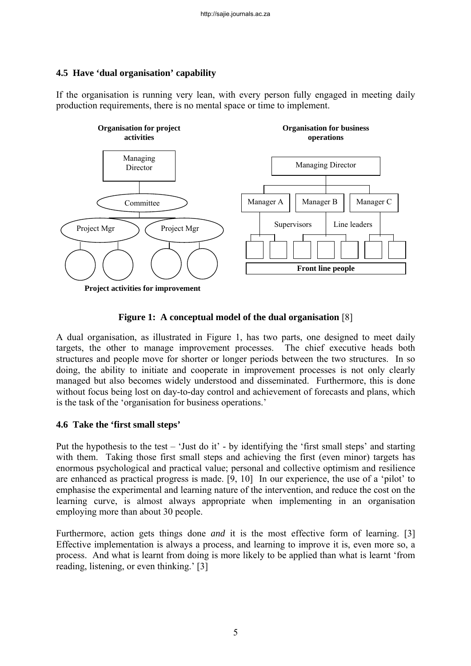## **4.5 Have 'dual organisation' capability**

If the organisation is running very lean, with every person fully engaged in meeting daily production requirements, there is no mental space or time to implement.



### **Figure 1: A conceptual model of the dual organisation** [8]

A dual organisation, as illustrated in Figure 1, has two parts, one designed to meet daily targets, the other to manage improvement processes. The chief executive heads both structures and people move for shorter or longer periods between the two structures. In so doing, the ability to initiate and cooperate in improvement processes is not only clearly managed but also becomes widely understood and disseminated. Furthermore, this is done without focus being lost on day-to-day control and achievement of forecasts and plans, which is the task of the 'organisation for business operations.'

### **4.6 Take the 'first small steps'**

Put the hypothesis to the test – 'Just do it' - by identifying the 'first small steps' and starting with them. Taking those first small steps and achieving the first (even minor) targets has enormous psychological and practical value; personal and collective optimism and resilience are enhanced as practical progress is made. [9, 10] In our experience, the use of a 'pilot' to emphasise the experimental and learning nature of the intervention, and reduce the cost on the learning curve, is almost always appropriate when implementing in an organisation employing more than about 30 people.

Furthermore, action gets things done *and* it is the most effective form of learning. [3] Effective implementation is always a process, and learning to improve it is, even more so, a process. And what is learnt from doing is more likely to be applied than what is learnt 'from reading, listening, or even thinking.' [3]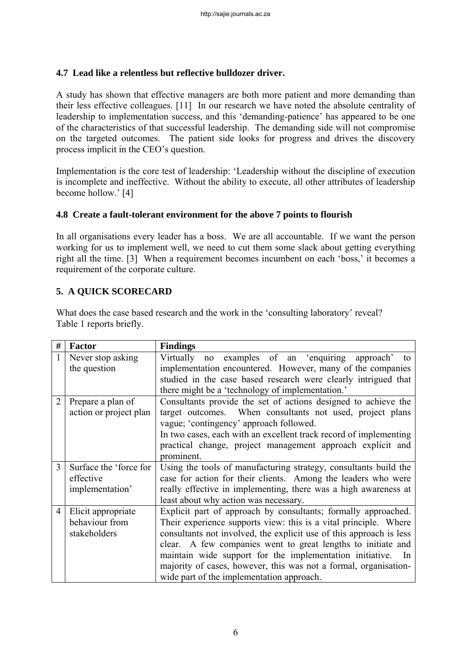## **4.7 Lead like a relentless but reflective bulldozer driver.**

A study has shown that effective managers are both more patient and more demanding than their less effective colleagues. [11] In our research we have noted the absolute centrality of leadership to implementation success, and this 'demanding-patience' has appeared to be one of the characteristics of that successful leadership. The demanding side will not compromise on the targeted outcomes. The patient side looks for progress and drives the discovery process implicit in the CEO's question.

Implementation is the core test of leadership: 'Leadership without the discipline of execution is incomplete and ineffective. Without the ability to execute, all other attributes of leadership become hollow.' [4]

### **4.8 Create a fault-tolerant environment for the above 7 points to flourish**

In all organisations every leader has a boss. We are all accountable. If we want the person working for us to implement well, we need to cut them some slack about getting everything right all the time. [3] When a requirement becomes incumbent on each 'boss,' it becomes a requirement of the corporate culture.

## **5. A QUICK SCORECARD**

What does the case based research and the work in the 'consulting laboratory' reveal? Table 1 reports briefly.

| #              | Factor                 | <b>Findings</b>                                                     |  |  |  |
|----------------|------------------------|---------------------------------------------------------------------|--|--|--|
|                | Never stop asking      | Virtually no examples of an 'enquiring approach' to                 |  |  |  |
|                | the question           | implementation encountered. However, many of the companies          |  |  |  |
|                |                        | studied in the case based research were clearly intrigued that      |  |  |  |
|                |                        | there might be a 'technology of implementation.'                    |  |  |  |
|                | Prepare a plan of      | Consultants provide the set of actions designed to achieve the      |  |  |  |
|                | action or project plan | target outcomes. When consultants not used, project plans           |  |  |  |
|                |                        | vague; 'contingency' approach followed.                             |  |  |  |
|                |                        | In two cases, each with an excellent track record of implementing   |  |  |  |
|                |                        | practical change, project management approach explicit and          |  |  |  |
|                |                        | prominent.                                                          |  |  |  |
| 3              | Surface the 'force for | Using the tools of manufacturing strategy, consultants build the    |  |  |  |
|                | effective              | case for action for their clients. Among the leaders who were       |  |  |  |
|                | implementation'        | really effective in implementing, there was a high awareness at     |  |  |  |
|                |                        | least about why action was necessary.                               |  |  |  |
| $\overline{4}$ | Elicit appropriate     | Explicit part of approach by consultants; formally approached.      |  |  |  |
|                | behaviour from         | Their experience supports view: this is a vital principle. Where    |  |  |  |
|                | stakeholders           | consultants not involved, the explicit use of this approach is less |  |  |  |
|                |                        | clear. A few companies went to great lengths to initiate and        |  |  |  |
|                |                        | maintain wide support for the implementation initiative. In         |  |  |  |
|                |                        | majority of cases, however, this was not a formal, organisation-    |  |  |  |
|                |                        | wide part of the implementation approach.                           |  |  |  |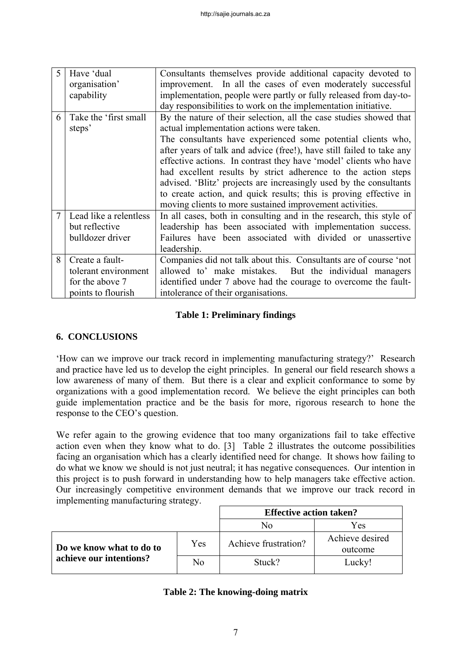| $\varsigma$ | Have 'dual             | Consultants themselves provide additional capacity devoted to         |  |  |  |
|-------------|------------------------|-----------------------------------------------------------------------|--|--|--|
|             | organisation'          | improvement. In all the cases of even moderately successful           |  |  |  |
|             | capability             | implementation, people were partly or fully released from day-to-     |  |  |  |
|             |                        | day responsibilities to work on the implementation initiative.        |  |  |  |
| 6           | Take the 'first small  | By the nature of their selection, all the case studies showed that    |  |  |  |
|             | steps'                 | actual implementation actions were taken.                             |  |  |  |
|             |                        | The consultants have experienced some potential clients who,          |  |  |  |
|             |                        | after years of talk and advice (free!), have still failed to take any |  |  |  |
|             |                        | effective actions. In contrast they have 'model' clients who have     |  |  |  |
|             |                        | had excellent results by strict adherence to the action steps         |  |  |  |
|             |                        | advised. 'Blitz' projects are increasingly used by the consultants    |  |  |  |
|             |                        | to create action, and quick results; this is proving effective in     |  |  |  |
|             |                        | moving clients to more sustained improvement activities.              |  |  |  |
|             | Lead like a relentless | In all cases, both in consulting and in the research, this style of   |  |  |  |
|             | but reflective         | leadership has been associated with implementation success.           |  |  |  |
|             | bulldozer driver       | Failures have been associated with divided or unassertive             |  |  |  |
|             |                        | leadership.                                                           |  |  |  |
| 8           | Create a fault-        | Companies did not talk about this. Consultants are of course 'not     |  |  |  |
|             | tolerant environment   | allowed to' make mistakes. But the individual managers                |  |  |  |
|             | for the above 7        | identified under 7 above had the courage to overcome the fault-       |  |  |  |
|             | points to flourish     | intolerance of their organisations.                                   |  |  |  |

## **Table 1: Preliminary findings**

# **6. CONCLUSIONS**

'How can we improve our track record in implementing manufacturing strategy?' Research and practice have led us to develop the eight principles. In general our field research shows a low awareness of many of them. But there is a clear and explicit conformance to some by organizations with a good implementation record. We believe the eight principles can both guide implementation practice and be the basis for more, rigorous research to hone the response to the CEO's question.

We refer again to the growing evidence that too many organizations fail to take effective action even when they know what to do. [3] Table 2 illustrates the outcome possibilities facing an organisation which has a clearly identified need for change. It shows how failing to do what we know we should is not just neutral; it has negative consequences. Our intention in this project is to push forward in understanding how to help managers take effective action. Our increasingly competitive environment demands that we improve our track record in implementing manufacturing strategy.

|                          |     | <b>Effective action taken?</b> |                            |
|--------------------------|-----|--------------------------------|----------------------------|
|                          |     | No                             | Yes                        |
| Do we know what to do to | Yes | Achieve frustration?           | Achieve desired<br>outcome |
| achieve our intentions?  | No  | Stuck?                         | Lucky!                     |

# **Table 2: The knowing-doing matrix**